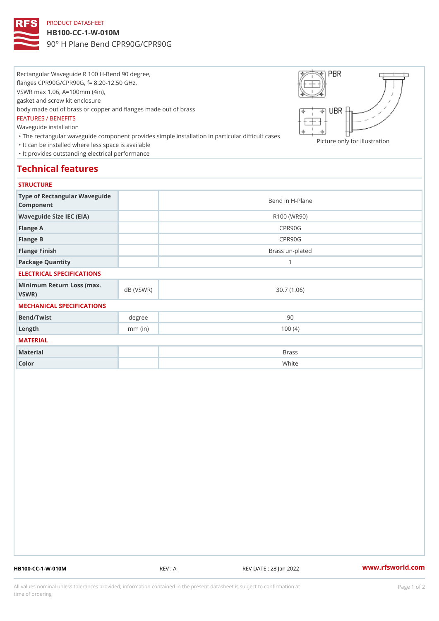## PRODUCT DATASHEET

HB100-CC-1-W-010M 90° H Plane Bend CPR90G/CPR90G

Rectangular Waveguide R 100 H-Bend 90 degree, flanges CPR90G/CPR90G, f= 8.20-12.50 GHz, VSWR max 1.06, A=100mm (4in), gasket and screw kit enclosure body made out of brass or copper and flanges made out of brass FEATURES / BENEFITS Waveguide installation "The rectangular waveguide component provides simple installation in particular difficult cases Picture only for illustration "It can be installed where less space is available "It provides outstanding electrical performance

## Technical features

## **STRUCTURE**

| .                                              |           |                 |
|------------------------------------------------|-----------|-----------------|
| Type of Rectangular Waveguide<br>Component     |           | Bend in H-Plane |
| Waveguide Size IEC (EIA)                       |           | R100 (WR90)     |
| Flange A                                       |           | CPR90G          |
| Flange B                                       |           | CPR90G          |
| Flange Finish                                  |           | Brass un-plated |
| Package Quantity                               |           | 1               |
| ELECTRICAL SPECIFICATIONS                      |           |                 |
| Minimum Return Loss (nax (VSWR)<br>$V$ S W R ) |           | 30.7(1.06)      |
| MECHANICAL SPECIFICATIONS                      |           |                 |
| Bend/Twist                                     | degree    | 90              |
| $L$ ength                                      | $mm$ (in) | 100(4)          |
| MATERIAL                                       |           |                 |
| Material                                       |           | Brass           |
| Color                                          |           | White           |

HB100-CC-1-W-010M REV : A REV DATE : 28 Jan 2022 [www.](https://www.rfsworld.com)rfsworld.com